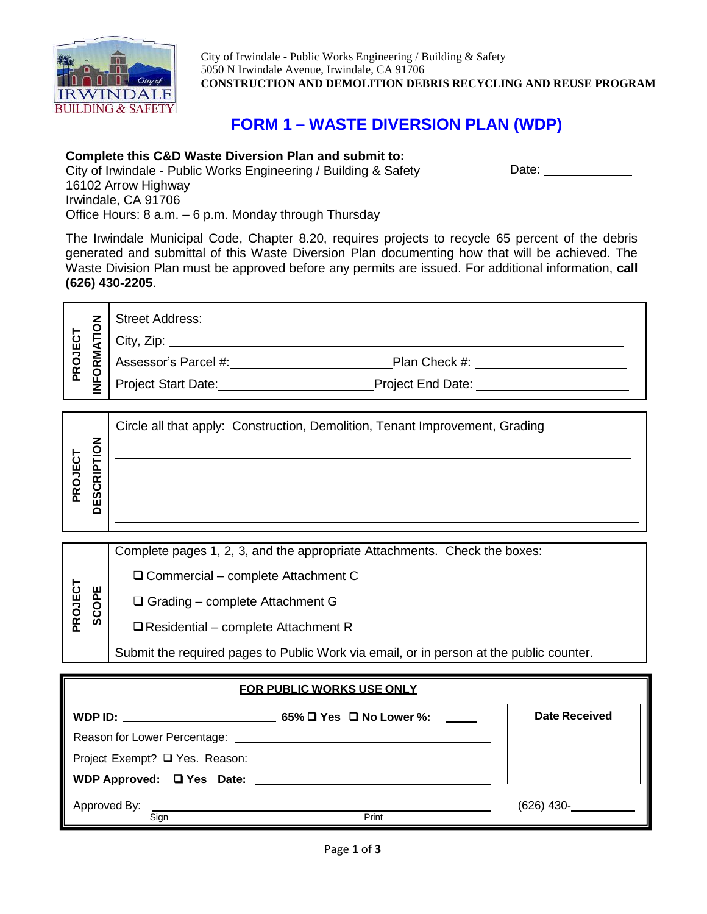

**PROJECT SCOPE** City of Irwindale - Public Works Engineering / Building & Safety 5050 N Irwindale Avenue, Irwindale, CA 91706 **CONSTRUCTION AND DEMOLITION DEBRIS RECYCLING AND REUSE PROGRAM**

Date:

# **FORM 1 – WASTE DIVERSION PLAN (WDP)**

### **Complete this C&D Waste Diversion Plan and submit to:**

City of Irwindale - Public Works Engineering / Building & Safety 16102 Arrow Highway Irwindale, CA 91706 Office Hours: 8 a.m. – 6 p.m. Monday through Thursday

The Irwindale Municipal Code, Chapter 8.20, requires projects to recycle 65 percent of the debris generated and submittal of this Waste Diversion Plan documenting how that will be achieved. The Waste Division Plan must be approved before any permits are issued. For additional information, **call (626) 430-2205**.

| ō<br>≧<br>≣<br>₫      | <b>Street Address:</b>     |                   |
|-----------------------|----------------------------|-------------------|
|                       | City, Zip:                 |                   |
| Σ<br>PROJ<br>$\alpha$ | Assessor's Parcel #:       | Plan Check #:     |
| ဥ<br>Ζ                | <b>Project Start Date:</b> | Project End Date: |

| z                                         | Circle all that apply: Construction, Demolition, Tenant Improvement, Grading |
|-------------------------------------------|------------------------------------------------------------------------------|
|                                           |                                                                              |
| <b>PROJECT</b><br>$\alpha$<br>c<br>ທ<br>ш |                                                                              |
| ≏                                         |                                                                              |
|                                           |                                                                              |

Complete pages 1, 2, 3, and the appropriate Attachments. Check the boxes:

□ Commercial – complete Attachment C

- □ Grading complete Attachment G
- $\Box$  Residential complete Attachment R

Submit the required pages to Public Work via email, or in person at the public counter.

| <b>FOR PUBLIC WORKS USE ONLY</b>                                                                                                                                                                                                     |                                              |                      |  |  |
|--------------------------------------------------------------------------------------------------------------------------------------------------------------------------------------------------------------------------------------|----------------------------------------------|----------------------|--|--|
|                                                                                                                                                                                                                                      | WDP ID: $65\%$ $\Box$ Yes $\Box$ No Lower %: | <b>Date Received</b> |  |  |
| Reason for Lower Percentage: <u>example and the set of the set of the set of the set of the set of the set of the set of the set of the set of the set of the set of the set of the set of the set of the set of the set of the </u> |                                              |                      |  |  |
|                                                                                                                                                                                                                                      |                                              |                      |  |  |
| WDP Approved: Q Yes Date: 2008. 2009. 2010. 2010. 2012. 2012. 2012. 2013. 2014. 2016. 2017. 2018. 2019. 2016. 2017. 2017. 2017. 2018. 2019. 2017. 2018. 2019. 2017. 2018. 2019. 2019. 2017. 2017. 2017. 2017. 2017. 2017. 2017       |                                              |                      |  |  |
| Sign                                                                                                                                                                                                                                 | Print                                        | $(626)$ 430-         |  |  |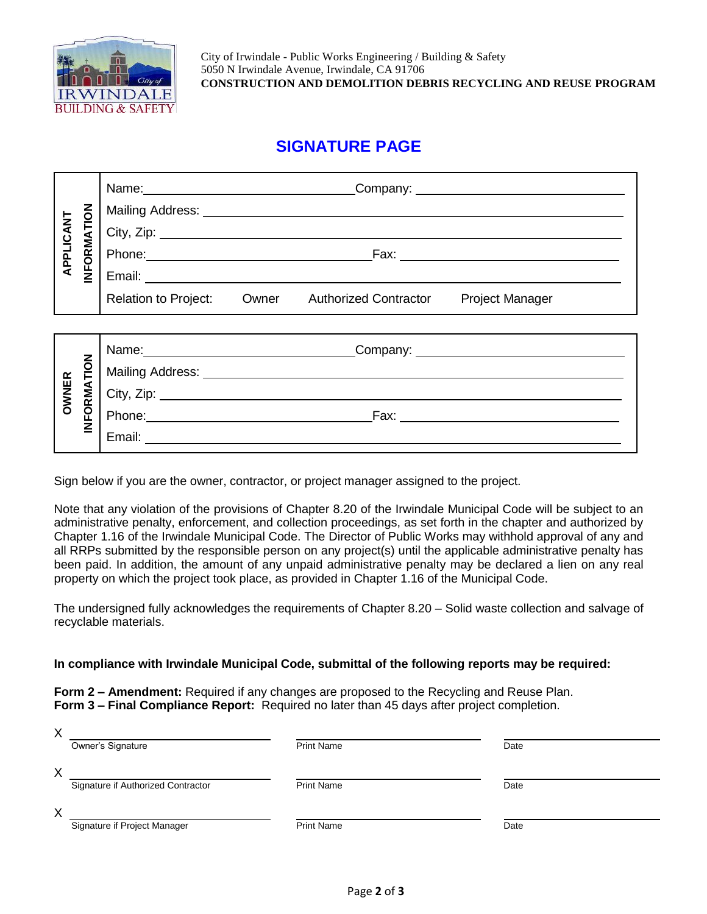

## **SIGNATURE PAGE**

| APPLICANT | <b>INFORMATION</b> | Name: Name and the service of the service of the service of the service of the service of the service of the service of the service of the service of the service of the service of the service of the service of the service  |                             |                                                                                                                                                                                                                               |  |
|-----------|--------------------|--------------------------------------------------------------------------------------------------------------------------------------------------------------------------------------------------------------------------------|-----------------------------|-------------------------------------------------------------------------------------------------------------------------------------------------------------------------------------------------------------------------------|--|
|           |                    |                                                                                                                                                                                                                                |                             |                                                                                                                                                                                                                               |  |
|           |                    |                                                                                                                                                                                                                                |                             |                                                                                                                                                                                                                               |  |
|           |                    |                                                                                                                                                                                                                                |                             |                                                                                                                                                                                                                               |  |
|           |                    |                                                                                                                                                                                                                                |                             |                                                                                                                                                                                                                               |  |
|           |                    | Relation to Project:                                                                                                                                                                                                           | Owner Authorized Contractor | <b>Project Manager</b>                                                                                                                                                                                                        |  |
|           |                    |                                                                                                                                                                                                                                |                             |                                                                                                                                                                                                                               |  |
| OWNER     | INFORMATION        |                                                                                                                                                                                                                                |                             | Name: Name: Name: Name: Name: Name: Name: Name: Name: Name: Name: Name: Name: Name: Name: Name: Name: Name: Name: Name: Name: Name: Name: Name: Name: Name: Name: Name: Name: Name: Name: Name: Name: Name: Name: Name: Name: |  |
|           |                    |                                                                                                                                                                                                                                |                             |                                                                                                                                                                                                                               |  |
|           |                    |                                                                                                                                                                                                                                |                             |                                                                                                                                                                                                                               |  |
|           |                    | Phone: 2008 Contract Contract Contract Contract Contract Contract Contract Contract Contract Contract Contract Contract Contract Contract Contract Contract Contract Contract Contract Contract Contract Contract Contract Con |                             |                                                                                                                                                                                                                               |  |
|           |                    | Email:                                                                                                                                                                                                                         |                             |                                                                                                                                                                                                                               |  |

Sign below if you are the owner, contractor, or project manager assigned to the project.

Note that any violation of the provisions of Chapter 8.20 of the Irwindale Municipal Code will be subject to an administrative penalty, enforcement, and collection proceedings, as set forth in the chapter and authorized by Chapter 1.16 of the Irwindale Municipal Code. The Director of Public Works may withhold approval of any and all RRPs submitted by the responsible person on any project(s) until the applicable administrative penalty has been paid. In addition, the amount of any unpaid administrative penalty may be declared a lien on any real property on which the project took place, as provided in Chapter 1.16 of the Municipal Code.

The undersigned fully acknowledges the requirements of Chapter 8.20 – Solid waste collection and salvage of recyclable materials.

#### **In compliance with Irwindale Municipal Code, submittal of the following reports may be required:**

**Form 2 – Amendment:** Required if any changes are proposed to the Recycling and Reuse Plan. **Form 3 – Final Compliance Report:** Required no later than 45 days after project completion.

| X        |                                    |                   |      |
|----------|------------------------------------|-------------------|------|
|          | Owner's Signature                  | <b>Print Name</b> | Date |
|          |                                    |                   |      |
|          |                                    |                   |      |
| X        |                                    |                   |      |
|          | Signature if Authorized Contractor | <b>Print Name</b> | Date |
|          |                                    |                   |      |
|          |                                    |                   |      |
| $\times$ |                                    |                   |      |
|          | Signature if Project Manager       | <b>Print Name</b> | Date |
|          |                                    |                   |      |
|          |                                    |                   |      |